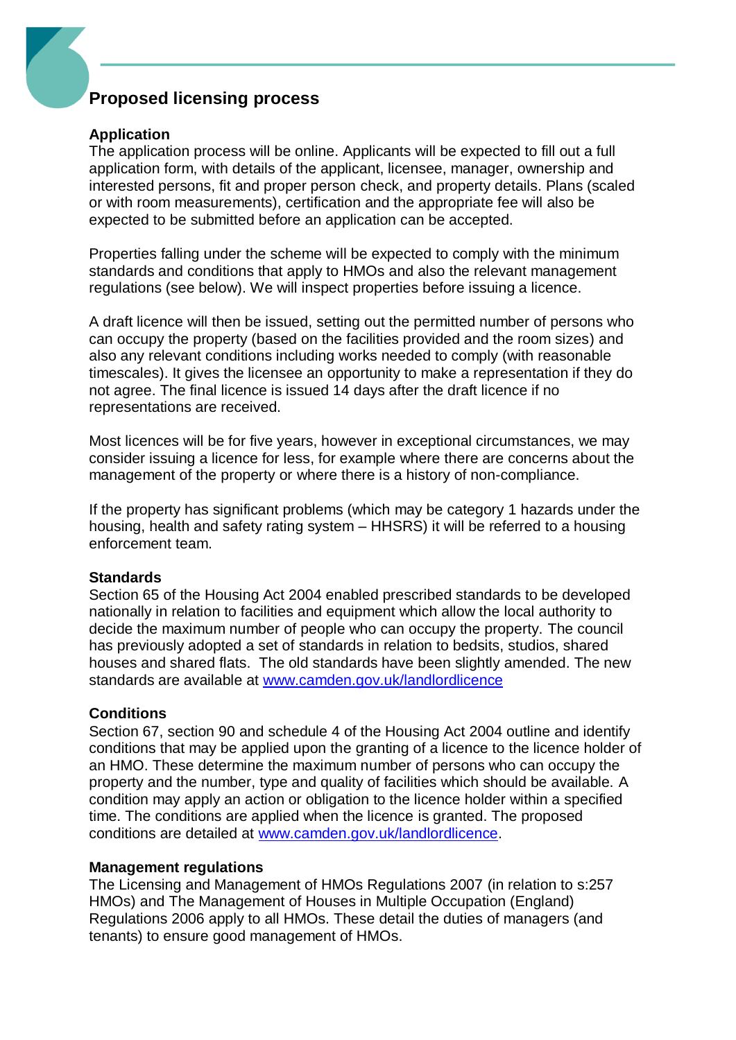## **Proposed licensing process**

#### **Application**

The application process will be online. Applicants will be expected to fill out a full application form, with details of the applicant, licensee, manager, ownership and interested persons, fit and proper person check, and property details. Plans (scaled or with room measurements), certification and the appropriate fee will also be expected to be submitted before an application can be accepted.

Properties falling under the scheme will be expected to comply with the minimum standards and conditions that apply to HMOs and also the relevant management regulations (see below). We will inspect properties before issuing a licence.

A draft licence will then be issued, setting out the permitted number of persons who can occupy the property (based on the facilities provided and the room sizes) and also any relevant conditions including works needed to comply (with reasonable timescales). It gives the licensee an opportunity to make a representation if they do not agree. The final licence is issued 14 days after the draft licence if no representations are received.

Most licences will be for five years, however in exceptional circumstances, we may consider issuing a licence for less, for example where there are concerns about the management of the property or where there is a history of non-compliance.

If the property has significant problems (which may be category 1 hazards under the housing, health and safety rating system – HHSRS) it will be referred to a housing enforcement team.

#### **Standards**

Section 65 of the Housing Act 2004 enabled prescribed standards to be developed nationally in relation to facilities and equipment which allow the local authority to decide the maximum number of people who can occupy the property. The council has previously adopted a set of standards in relation to bedsits, studios, shared houses and shared flats. The old standards have been slightly amended. The new standards are available at [www.camden.gov.uk/landlordlicence](http://www.camden.gov.uk/landlordlicence)

### **Conditions**

Section 67, section 90 and schedule 4 of the Housing Act 2004 outline and identify conditions that may be applied upon the granting of a licence to the licence holder of an HMO. These determine the maximum number of persons who can occupy the property and the number, type and quality of facilities which should be available. A condition may apply an action or obligation to the licence holder within a specified time. The conditions are applied when the licence is granted. The proposed conditions are detailed at [www.camden.gov.uk/landlordlicence.](http://www.camden.gov.uk/landlordlicence)

#### **Management regulations**

The Licensing and Management of HMOs Regulations 2007 (in relation to s:257 HMOs) and The Management of Houses in Multiple Occupation (England) Regulations 2006 apply to all HMOs. These detail the duties of managers (and tenants) to ensure good management of HMOs.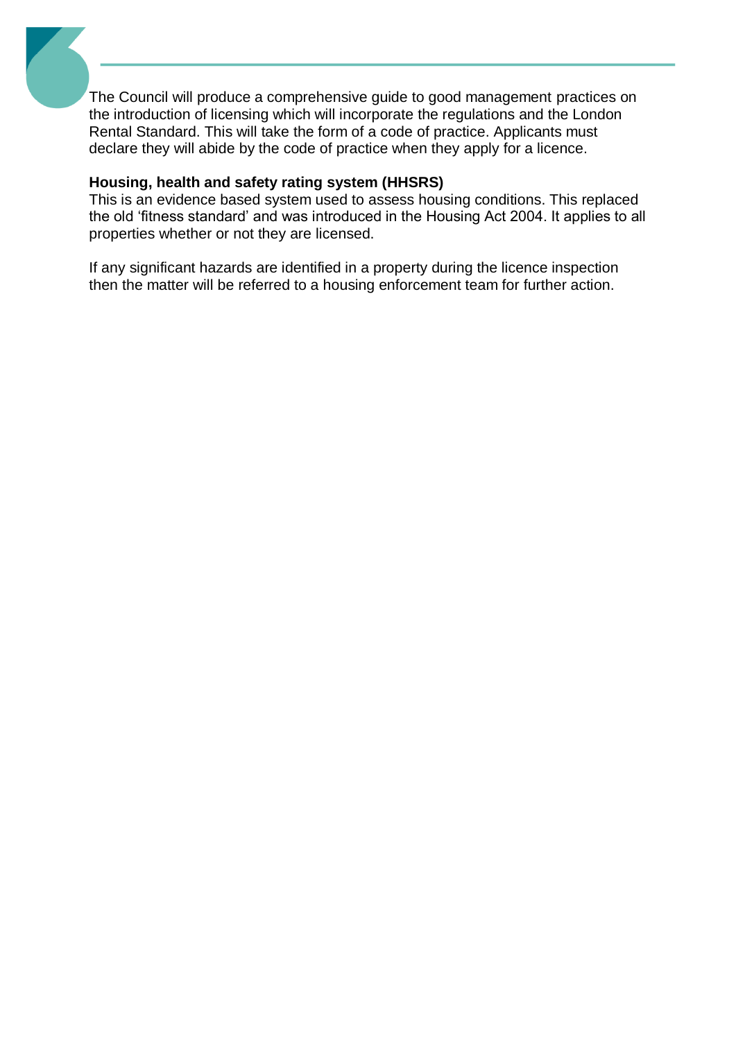The Council will produce a comprehensive guide to good management practices on the introduction of licensing which will incorporate the regulations and the London Rental Standard. This will take the form of a code of practice. Applicants must declare they will abide by the code of practice when they apply for a licence.

### **Housing, health and safety rating system (HHSRS)**

This is an evidence based system used to assess housing conditions. This replaced the old 'fitness standard' and was introduced in the Housing Act 2004. It applies to all properties whether or not they are licensed.

If any significant hazards are identified in a property during the licence inspection then the matter will be referred to a housing enforcement team for further action.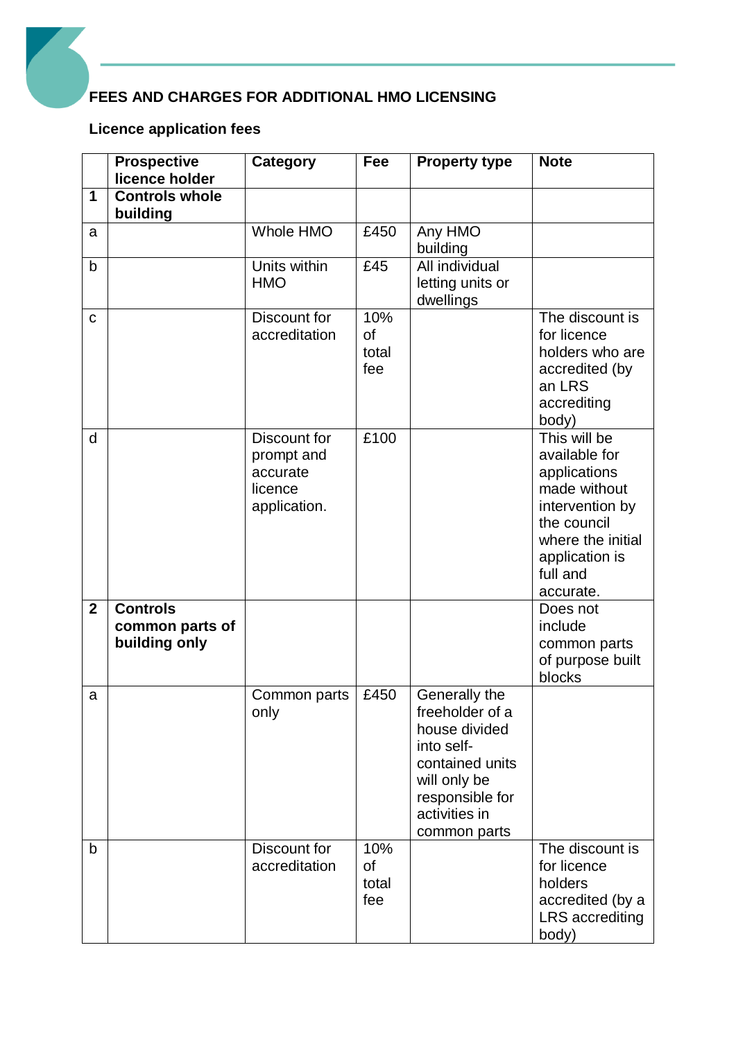# **FEES AND CHARGES FOR ADDITIONAL HMO LICENSING**

## **Licence application fees**

|                | <b>Prospective</b><br>licence holder                | Category                                                          | Fee                       | <b>Property type</b>                                                                                                                                   | <b>Note</b>                                                                                                                                                     |
|----------------|-----------------------------------------------------|-------------------------------------------------------------------|---------------------------|--------------------------------------------------------------------------------------------------------------------------------------------------------|-----------------------------------------------------------------------------------------------------------------------------------------------------------------|
| 1              | <b>Controls whole</b><br>building                   |                                                                   |                           |                                                                                                                                                        |                                                                                                                                                                 |
| a              |                                                     | Whole HMO                                                         | £450                      | Any HMO<br>building                                                                                                                                    |                                                                                                                                                                 |
| $\mathsf b$    |                                                     | Units within<br><b>HMO</b>                                        | £45                       | All individual<br>letting units or<br>dwellings                                                                                                        |                                                                                                                                                                 |
| $\mathbf C$    |                                                     | Discount for<br>accreditation                                     | 10%<br>of<br>total<br>fee |                                                                                                                                                        | The discount is<br>for licence<br>holders who are<br>accredited (by<br>an LRS<br>accrediting<br>body)                                                           |
| d              |                                                     | Discount for<br>prompt and<br>accurate<br>licence<br>application. | £100                      |                                                                                                                                                        | This will be<br>available for<br>applications<br>made without<br>intervention by<br>the council<br>where the initial<br>application is<br>full and<br>accurate. |
| $\overline{2}$ | <b>Controls</b><br>common parts of<br>building only |                                                                   |                           |                                                                                                                                                        | Does not<br>include<br>common parts<br>of purpose built<br>blocks                                                                                               |
| a              |                                                     | Common parts<br>only                                              | £450                      | Generally the<br>freeholder of a<br>house divided<br>into self-<br>contained units<br>will only be<br>responsible for<br>activities in<br>common parts |                                                                                                                                                                 |
| b              |                                                     | Discount for<br>accreditation                                     | 10%<br>οf<br>total<br>fee |                                                                                                                                                        | The discount is<br>for licence<br>holders<br>accredited (by a<br>LRS accrediting<br>body)                                                                       |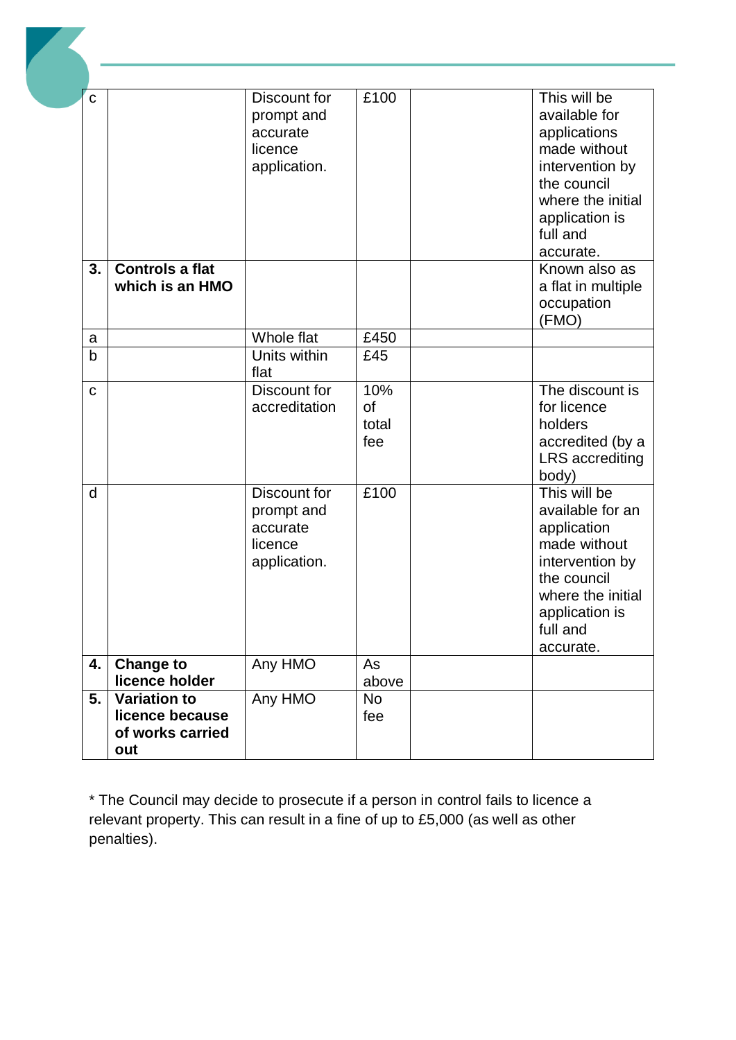| $\mathbf C$ |                                                                   | Discount for<br>prompt and<br>accurate<br>licence<br>application. | £100                             | This will be<br>available for<br>applications<br>made without<br>intervention by<br>the council<br>where the initial<br>application is                            |
|-------------|-------------------------------------------------------------------|-------------------------------------------------------------------|----------------------------------|-------------------------------------------------------------------------------------------------------------------------------------------------------------------|
| 3.          | Controls a flat<br>which is an HMO                                |                                                                   |                                  | full and<br>accurate.<br>Known also as<br>a flat in multiple<br>occupation                                                                                        |
|             |                                                                   |                                                                   |                                  | (FMO)                                                                                                                                                             |
| a<br>b      |                                                                   | Whole flat<br>Units within<br>flat                                | £450<br>£45                      |                                                                                                                                                                   |
| C           |                                                                   | Discount for<br>accreditation                                     | 10%<br><b>of</b><br>total<br>fee | The discount is<br>for licence<br>holders<br>accredited (by a<br><b>LRS</b> accrediting<br>body)                                                                  |
| d           |                                                                   | Discount for<br>prompt and<br>accurate<br>licence<br>application. | £100                             | This will be<br>available for an<br>application<br>made without<br>intervention by<br>the council<br>where the initial<br>application is<br>full and<br>accurate. |
| 4.          | <b>Change to</b><br>licence holder                                | Any HMO                                                           | As                               |                                                                                                                                                                   |
| 5.          | <b>Variation to</b><br>licence because<br>of works carried<br>out | Any HMO                                                           | above<br><b>No</b><br>fee        |                                                                                                                                                                   |

\* The Council may decide to prosecute if a person in control fails to licence a relevant property. This can result in a fine of up to £5,000 (as well as other penalties).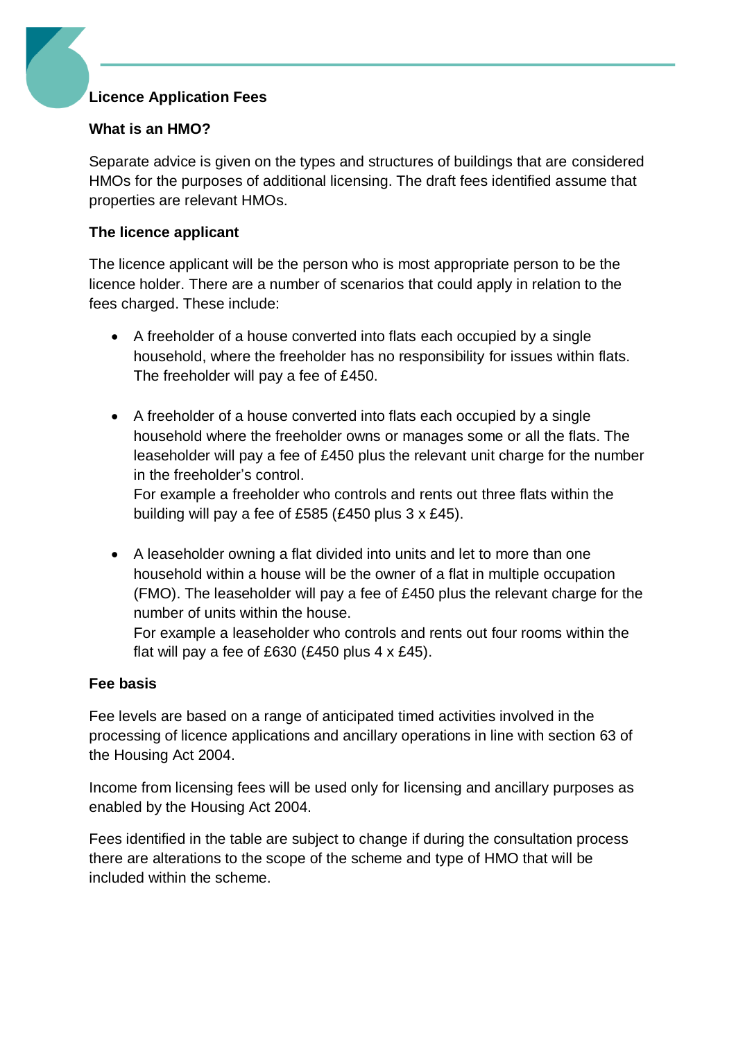## **Licence Application Fees**

## **What is an HMO?**

Separate advice is given on the types and structures of buildings that are considered HMOs for the purposes of additional licensing. The draft fees identified assume that properties are relevant HMOs.

## **The licence applicant**

The licence applicant will be the person who is most appropriate person to be the licence holder. There are a number of scenarios that could apply in relation to the fees charged. These include:

- A freeholder of a house converted into flats each occupied by a single household, where the freeholder has no responsibility for issues within flats. The freeholder will pay a fee of £450.
- A freeholder of a house converted into flats each occupied by a single household where the freeholder owns or manages some or all the flats. The leaseholder will pay a fee of £450 plus the relevant unit charge for the number in the freeholder's control.

For example a freeholder who controls and rents out three flats within the building will pay a fee of £585 (£450 plus 3 x £45).

 A leaseholder owning a flat divided into units and let to more than one household within a house will be the owner of a flat in multiple occupation (FMO). The leaseholder will pay a fee of £450 plus the relevant charge for the number of units within the house.

For example a leaseholder who controls and rents out four rooms within the flat will pay a fee of £630 (£450 plus  $4 \times £45$ ).

## **Fee basis**

Fee levels are based on a range of anticipated timed activities involved in the processing of licence applications and ancillary operations in line with section 63 of the Housing Act 2004.

Income from licensing fees will be used only for licensing and ancillary purposes as enabled by the Housing Act 2004.

Fees identified in the table are subject to change if during the consultation process there are alterations to the scope of the scheme and type of HMO that will be included within the scheme.